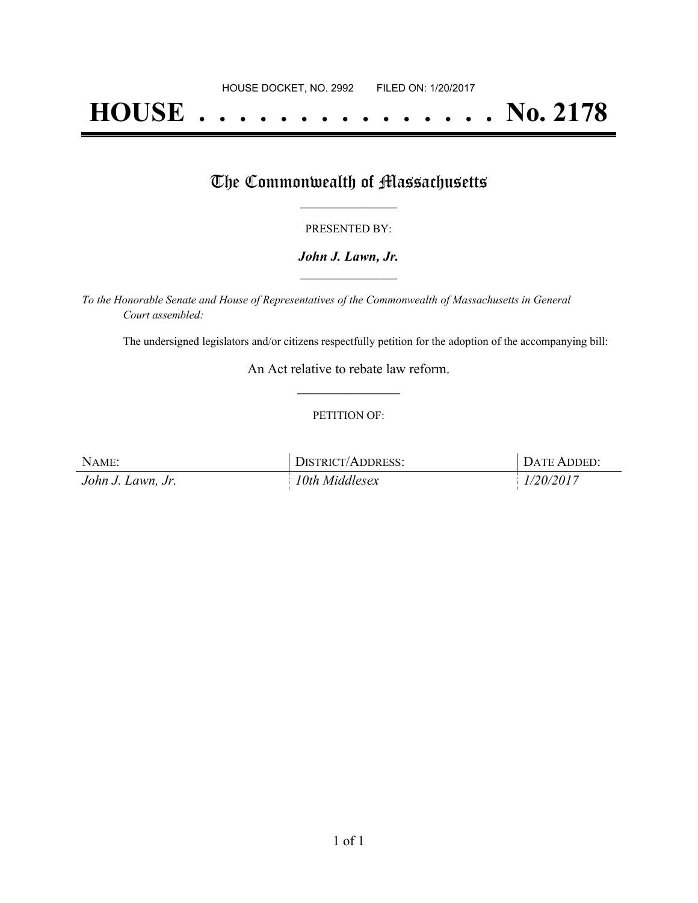# **HOUSE . . . . . . . . . . . . . . . No. 2178**

## The Commonwealth of Massachusetts

#### PRESENTED BY:

#### *John J. Lawn, Jr.* **\_\_\_\_\_\_\_\_\_\_\_\_\_\_\_\_\_**

*To the Honorable Senate and House of Representatives of the Commonwealth of Massachusetts in General Court assembled:*

The undersigned legislators and/or citizens respectfully petition for the adoption of the accompanying bill:

An Act relative to rebate law reform. **\_\_\_\_\_\_\_\_\_\_\_\_\_\_\_**

#### PETITION OF:

| NAME:             | <b>DISTRICT/ADDRESS:</b> | <b>DATE ADDED:</b> |
|-------------------|--------------------------|--------------------|
| John J. Lawn, Jr. | 10th Middlesex           | 1/20/2017          |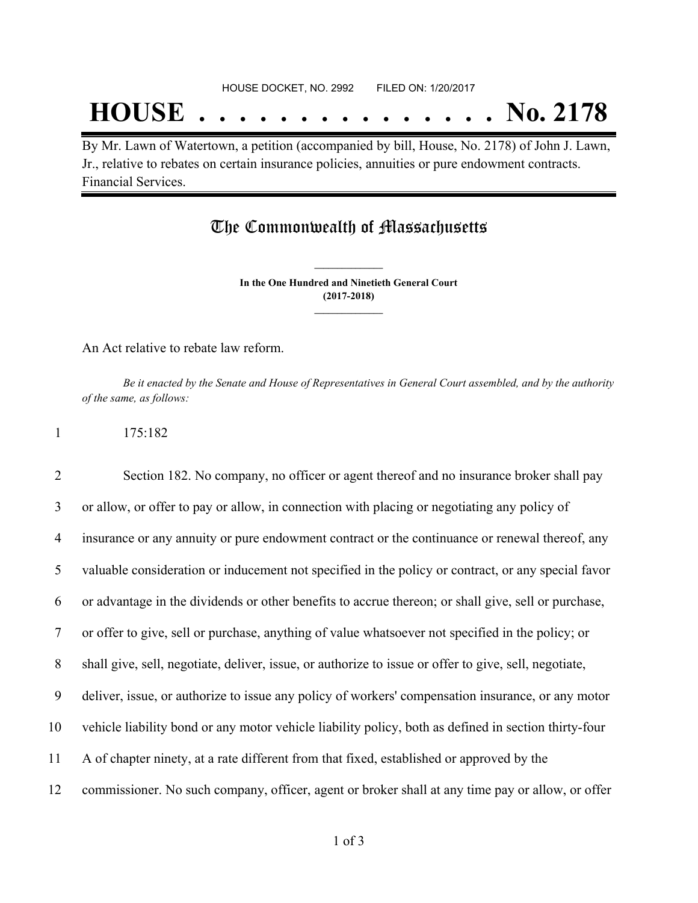## **HOUSE . . . . . . . . . . . . . . . No. 2178**

By Mr. Lawn of Watertown, a petition (accompanied by bill, House, No. 2178) of John J. Lawn, Jr., relative to rebates on certain insurance policies, annuities or pure endowment contracts. Financial Services.

### The Commonwealth of Massachusetts

**In the One Hundred and Ninetieth General Court (2017-2018) \_\_\_\_\_\_\_\_\_\_\_\_\_\_\_**

**\_\_\_\_\_\_\_\_\_\_\_\_\_\_\_**

An Act relative to rebate law reform.

1 175:182

Be it enacted by the Senate and House of Representatives in General Court assembled, and by the authority *of the same, as follows:*

| l |  |  |  |
|---|--|--|--|
|   |  |  |  |

 Section 182. No company, no officer or agent thereof and no insurance broker shall pay or allow, or offer to pay or allow, in connection with placing or negotiating any policy of insurance or any annuity or pure endowment contract or the continuance or renewal thereof, any valuable consideration or inducement not specified in the policy or contract, or any special favor or advantage in the dividends or other benefits to accrue thereon; or shall give, sell or purchase, or offer to give, sell or purchase, anything of value whatsoever not specified in the policy; or shall give, sell, negotiate, deliver, issue, or authorize to issue or offer to give, sell, negotiate, deliver, issue, or authorize to issue any policy of workers' compensation insurance, or any motor vehicle liability bond or any motor vehicle liability policy, both as defined in section thirty-four A of chapter ninety, at a rate different from that fixed, established or approved by the commissioner. No such company, officer, agent or broker shall at any time pay or allow, or offer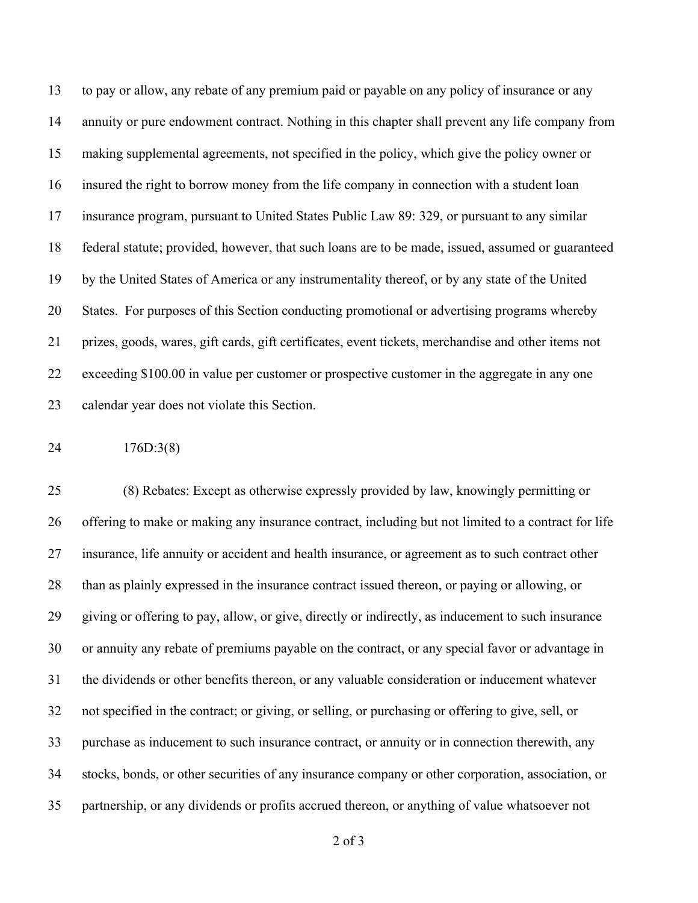to pay or allow, any rebate of any premium paid or payable on any policy of insurance or any annuity or pure endowment contract. Nothing in this chapter shall prevent any life company from making supplemental agreements, not specified in the policy, which give the policy owner or insured the right to borrow money from the life company in connection with a student loan insurance program, pursuant to United States Public Law 89: 329, or pursuant to any similar federal statute; provided, however, that such loans are to be made, issued, assumed or guaranteed by the United States of America or any instrumentality thereof, or by any state of the United States. For purposes of this Section conducting promotional or advertising programs whereby prizes, goods, wares, gift cards, gift certificates, event tickets, merchandise and other items not exceeding \$100.00 in value per customer or prospective customer in the aggregate in any one calendar year does not violate this Section.

176D:3(8)

 (8) Rebates: Except as otherwise expressly provided by law, knowingly permitting or offering to make or making any insurance contract, including but not limited to a contract for life insurance, life annuity or accident and health insurance, or agreement as to such contract other than as plainly expressed in the insurance contract issued thereon, or paying or allowing, or giving or offering to pay, allow, or give, directly or indirectly, as inducement to such insurance or annuity any rebate of premiums payable on the contract, or any special favor or advantage in the dividends or other benefits thereon, or any valuable consideration or inducement whatever not specified in the contract; or giving, or selling, or purchasing or offering to give, sell, or purchase as inducement to such insurance contract, or annuity or in connection therewith, any stocks, bonds, or other securities of any insurance company or other corporation, association, or partnership, or any dividends or profits accrued thereon, or anything of value whatsoever not

of 3